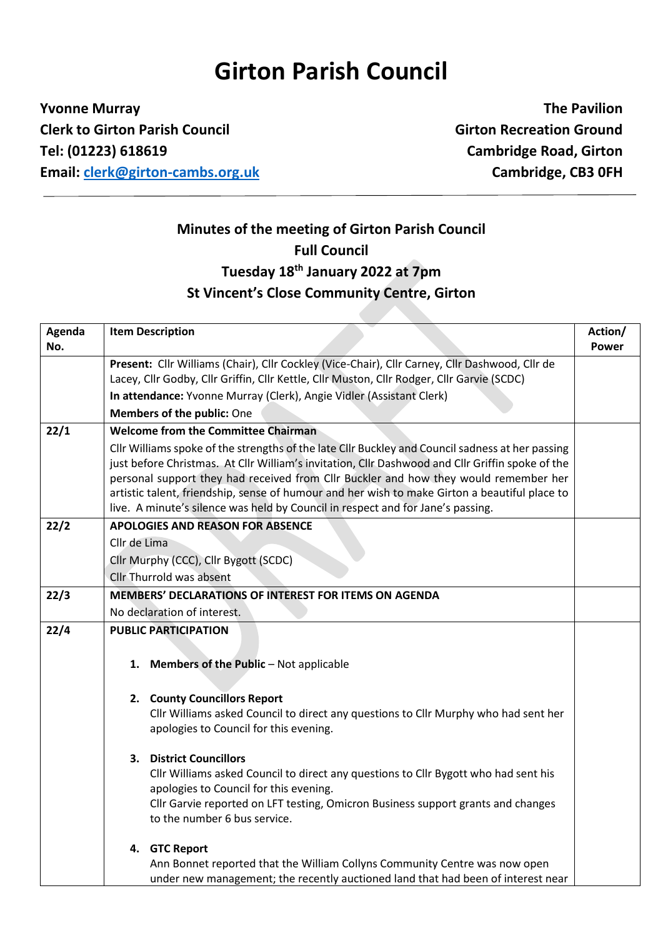## **Girton Parish Council**

**Yvonne Murray The Pavilion Clerk to Girton Parish Council Girton Recreation Ground Tel: (01223) 618619 Cambridge Road, Girton Email: [clerk@girton-cambs.org.uk](mailto:clerk@girton-cambs.org.uk) Cambridge, CB3 0FH**

## **Minutes of the meeting of Girton Parish Council Full Council Tuesday 18th January 2022 at 7pm St Vincent's Close Community Centre, Girton**

| Agenda |                                                       | <b>Item Description</b>                                                                                                                                                                  | Action/ |
|--------|-------------------------------------------------------|------------------------------------------------------------------------------------------------------------------------------------------------------------------------------------------|---------|
| No.    |                                                       |                                                                                                                                                                                          | Power   |
|        |                                                       | Present: Cllr Williams (Chair), Cllr Cockley (Vice-Chair), Cllr Carney, Cllr Dashwood, Cllr de                                                                                           |         |
|        |                                                       | Lacey, Cllr Godby, Cllr Griffin, Cllr Kettle, Cllr Muston, Cllr Rodger, Cllr Garvie (SCDC)                                                                                               |         |
|        |                                                       | In attendance: Yvonne Murray (Clerk), Angie Vidler (Assistant Clerk)                                                                                                                     |         |
|        |                                                       | Members of the public: One                                                                                                                                                               |         |
| 22/1   | <b>Welcome from the Committee Chairman</b>            |                                                                                                                                                                                          |         |
|        |                                                       | Cllr Williams spoke of the strengths of the late Cllr Buckley and Council sadness at her passing                                                                                         |         |
|        |                                                       | just before Christmas. At Cllr William's invitation, Cllr Dashwood and Cllr Griffin spoke of the<br>personal support they had received from Cllr Buckler and how they would remember her |         |
|        |                                                       | artistic talent, friendship, sense of humour and her wish to make Girton a beautiful place to                                                                                            |         |
|        |                                                       | live. A minute's silence was held by Council in respect and for Jane's passing.                                                                                                          |         |
| 22/2   | <b>APOLOGIES AND REASON FOR ABSENCE</b>               |                                                                                                                                                                                          |         |
|        | Cllr de Lima                                          |                                                                                                                                                                                          |         |
|        |                                                       | Cllr Murphy (CCC), Cllr Bygott (SCDC)                                                                                                                                                    |         |
|        |                                                       | Cllr Thurrold was absent                                                                                                                                                                 |         |
| 22/3   | MEMBERS' DECLARATIONS OF INTEREST FOR ITEMS ON AGENDA |                                                                                                                                                                                          |         |
|        |                                                       | No declaration of interest.                                                                                                                                                              |         |
| 22/4   | <b>PUBLIC PARTICIPATION</b>                           |                                                                                                                                                                                          |         |
|        |                                                       | 1. Members of the Public - Not applicable                                                                                                                                                |         |
|        |                                                       |                                                                                                                                                                                          |         |
|        |                                                       | 2. County Councillors Report                                                                                                                                                             |         |
|        |                                                       | Cllr Williams asked Council to direct any questions to Cllr Murphy who had sent her                                                                                                      |         |
|        |                                                       | apologies to Council for this evening.                                                                                                                                                   |         |
|        |                                                       |                                                                                                                                                                                          |         |
|        |                                                       | 3. District Councillors                                                                                                                                                                  |         |
|        |                                                       | Cllr Williams asked Council to direct any questions to Cllr Bygott who had sent his<br>apologies to Council for this evening.                                                            |         |
|        |                                                       | Cllr Garvie reported on LFT testing, Omicron Business support grants and changes                                                                                                         |         |
|        |                                                       | to the number 6 bus service.                                                                                                                                                             |         |
|        |                                                       |                                                                                                                                                                                          |         |
|        |                                                       | 4. GTC Report                                                                                                                                                                            |         |
|        |                                                       | Ann Bonnet reported that the William Collyns Community Centre was now open                                                                                                               |         |
|        |                                                       | under new management; the recently auctioned land that had been of interest near                                                                                                         |         |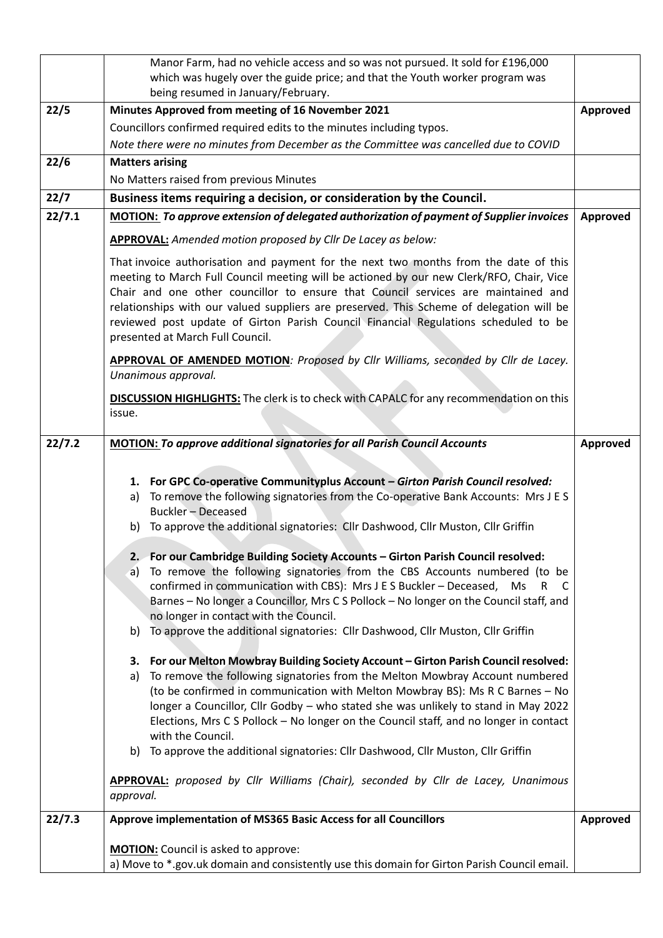|        | Manor Farm, had no vehicle access and so was not pursued. It sold for £196,000                                                                                                                                                                                                                                                                                                                                                                                                                                                                                                                                                                                                                                                                                                                                                                                                                                                                                                                                                                                                                                                                                                                                                                                                                                                                                                                                                                                       |                 |  |  |
|--------|----------------------------------------------------------------------------------------------------------------------------------------------------------------------------------------------------------------------------------------------------------------------------------------------------------------------------------------------------------------------------------------------------------------------------------------------------------------------------------------------------------------------------------------------------------------------------------------------------------------------------------------------------------------------------------------------------------------------------------------------------------------------------------------------------------------------------------------------------------------------------------------------------------------------------------------------------------------------------------------------------------------------------------------------------------------------------------------------------------------------------------------------------------------------------------------------------------------------------------------------------------------------------------------------------------------------------------------------------------------------------------------------------------------------------------------------------------------------|-----------------|--|--|
|        | which was hugely over the guide price; and that the Youth worker program was                                                                                                                                                                                                                                                                                                                                                                                                                                                                                                                                                                                                                                                                                                                                                                                                                                                                                                                                                                                                                                                                                                                                                                                                                                                                                                                                                                                         |                 |  |  |
| 22/5   | being resumed in January/February.<br>Minutes Approved from meeting of 16 November 2021                                                                                                                                                                                                                                                                                                                                                                                                                                                                                                                                                                                                                                                                                                                                                                                                                                                                                                                                                                                                                                                                                                                                                                                                                                                                                                                                                                              |                 |  |  |
|        | Councillors confirmed required edits to the minutes including typos.                                                                                                                                                                                                                                                                                                                                                                                                                                                                                                                                                                                                                                                                                                                                                                                                                                                                                                                                                                                                                                                                                                                                                                                                                                                                                                                                                                                                 |                 |  |  |
|        | Note there were no minutes from December as the Committee was cancelled due to COVID                                                                                                                                                                                                                                                                                                                                                                                                                                                                                                                                                                                                                                                                                                                                                                                                                                                                                                                                                                                                                                                                                                                                                                                                                                                                                                                                                                                 |                 |  |  |
| 22/6   | <b>Matters arising</b>                                                                                                                                                                                                                                                                                                                                                                                                                                                                                                                                                                                                                                                                                                                                                                                                                                                                                                                                                                                                                                                                                                                                                                                                                                                                                                                                                                                                                                               |                 |  |  |
|        | No Matters raised from previous Minutes                                                                                                                                                                                                                                                                                                                                                                                                                                                                                                                                                                                                                                                                                                                                                                                                                                                                                                                                                                                                                                                                                                                                                                                                                                                                                                                                                                                                                              |                 |  |  |
| 22/7   | Business items requiring a decision, or consideration by the Council.                                                                                                                                                                                                                                                                                                                                                                                                                                                                                                                                                                                                                                                                                                                                                                                                                                                                                                                                                                                                                                                                                                                                                                                                                                                                                                                                                                                                |                 |  |  |
| 22/7.1 | <b>MOTION: To approve extension of delegated authorization of payment of Supplier invoices</b>                                                                                                                                                                                                                                                                                                                                                                                                                                                                                                                                                                                                                                                                                                                                                                                                                                                                                                                                                                                                                                                                                                                                                                                                                                                                                                                                                                       |                 |  |  |
|        | <b>APPROVAL:</b> Amended motion proposed by Cllr De Lacey as below:                                                                                                                                                                                                                                                                                                                                                                                                                                                                                                                                                                                                                                                                                                                                                                                                                                                                                                                                                                                                                                                                                                                                                                                                                                                                                                                                                                                                  |                 |  |  |
|        | That invoice authorisation and payment for the next two months from the date of this<br>meeting to March Full Council meeting will be actioned by our new Clerk/RFO, Chair, Vice<br>Chair and one other councillor to ensure that Council services are maintained and<br>relationships with our valued suppliers are preserved. This Scheme of delegation will be<br>reviewed post update of Girton Parish Council Financial Regulations scheduled to be<br>presented at March Full Council.                                                                                                                                                                                                                                                                                                                                                                                                                                                                                                                                                                                                                                                                                                                                                                                                                                                                                                                                                                         |                 |  |  |
|        | APPROVAL OF AMENDED MOTION: Proposed by Cllr Williams, seconded by Cllr de Lacey.<br>Unanimous approval.                                                                                                                                                                                                                                                                                                                                                                                                                                                                                                                                                                                                                                                                                                                                                                                                                                                                                                                                                                                                                                                                                                                                                                                                                                                                                                                                                             |                 |  |  |
|        | <b>DISCUSSION HIGHLIGHTS:</b> The clerk is to check with CAPALC for any recommendation on this<br>issue.                                                                                                                                                                                                                                                                                                                                                                                                                                                                                                                                                                                                                                                                                                                                                                                                                                                                                                                                                                                                                                                                                                                                                                                                                                                                                                                                                             |                 |  |  |
| 22/7.2 | <b>MOTION: To approve additional signatories for all Parish Council Accounts</b>                                                                                                                                                                                                                                                                                                                                                                                                                                                                                                                                                                                                                                                                                                                                                                                                                                                                                                                                                                                                                                                                                                                                                                                                                                                                                                                                                                                     | Approved        |  |  |
|        | 1. For GPC Co-operative Communityplus Account - Girton Parish Council resolved:<br>To remove the following signatories from the Co-operative Bank Accounts: Mrs J E S<br>a)<br><b>Buckler - Deceased</b><br>b) To approve the additional signatories: Cllr Dashwood, Cllr Muston, Cllr Griffin<br>2. For our Cambridge Building Society Accounts - Girton Parish Council resolved:<br>a) To remove the following signatories from the CBS Accounts numbered (to be<br>confirmed in communication with CBS): Mrs J E S Buckler - Deceased,<br>Ms<br>R.<br><sub>C</sub><br>Barnes - No longer a Councillor, Mrs C S Pollock - No longer on the Council staff, and<br>no longer in contact with the Council.<br>To approve the additional signatories: Cllr Dashwood, Cllr Muston, Cllr Griffin<br>b)<br>3. For our Melton Mowbray Building Society Account - Girton Parish Council resolved:<br>a) To remove the following signatories from the Melton Mowbray Account numbered<br>(to be confirmed in communication with Melton Mowbray BS): Ms R C Barnes - No<br>longer a Councillor, Cllr Godby - who stated she was unlikely to stand in May 2022<br>Elections, Mrs C S Pollock - No longer on the Council staff, and no longer in contact<br>with the Council.<br>To approve the additional signatories: Cllr Dashwood, Cllr Muston, Cllr Griffin<br>b)<br><b>APPROVAL:</b> proposed by Cllr Williams (Chair), seconded by Cllr de Lacey, Unanimous<br>approval. |                 |  |  |
| 22/7.3 | Approve implementation of MS365 Basic Access for all Councillors                                                                                                                                                                                                                                                                                                                                                                                                                                                                                                                                                                                                                                                                                                                                                                                                                                                                                                                                                                                                                                                                                                                                                                                                                                                                                                                                                                                                     | <b>Approved</b> |  |  |
|        | <b>MOTION:</b> Council is asked to approve:<br>a) Move to *.gov.uk domain and consistently use this domain for Girton Parish Council email.                                                                                                                                                                                                                                                                                                                                                                                                                                                                                                                                                                                                                                                                                                                                                                                                                                                                                                                                                                                                                                                                                                                                                                                                                                                                                                                          |                 |  |  |